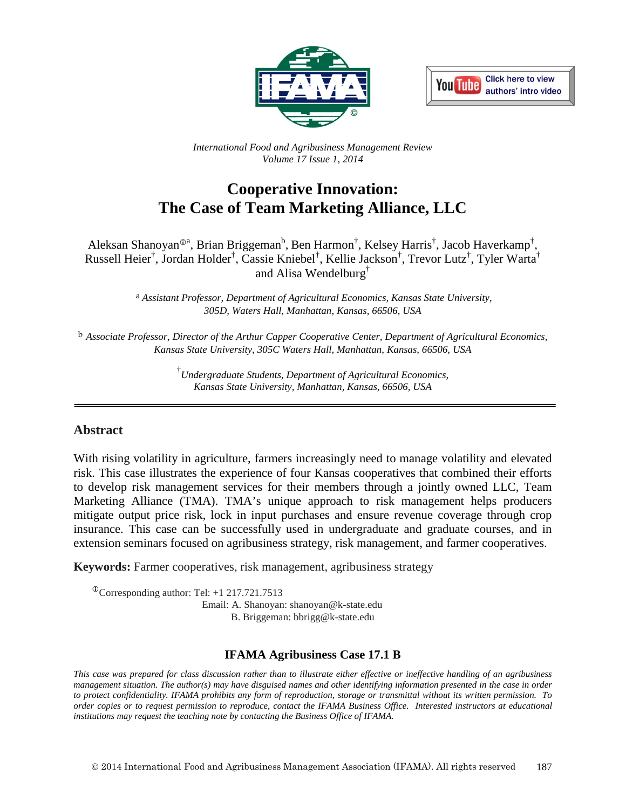



*International Food and Agribusiness Management Review Volume 17 Issue 1, 2014*

# **Cooperative Innovation: The Case of Team Marketing Alliance, LLC**

Aleksan Shanoyan®ª, Brian Briggeman<sup>b</sup>, Ben Harmon<sup>†</sup>, Kelsey Harris<sup>†</sup>, Jacob Haverkamp<sup>†</sup>, Russell Heier<sup>†</sup>, Jordan Holder<sup>†</sup>, Cassie Kniebel<sup>†</sup>, Kellie Jackson<sup>†</sup>, Trevor Lutz<sup>†</sup>, Tyler Warta<sup>†</sup> and Alisa Wendelburg†

> a *Assistant Professor, Department of Agricultural Economics, Kansas State University, 305D, Waters Hall, Manhattan, Kansas, 66506, USA*

b *Associate Professor, Director of the Arthur Capper Cooperative Center, Department of Agricultural Economics, Kansas State University, 305C Waters Hall, Manhattan, Kansas, 66506, USA*

> † *Undergraduate Students, Department of Agricultural Economics, Kansas State University, Manhattan, Kansas, 66506, USA*

#### **Abstract**

With rising volatility in agriculture, farmers increasingly need to manage volatility and elevated risk. This case illustrates the experience of four Kansas cooperatives that combined their efforts to develop risk management services for their members through a jointly owned LLC, Team Marketing Alliance (TMA). TMA's unique approach to risk management helps producers mitigate output price risk, lock in input purchases and ensure revenue coverage through crop insurance. This case can be successfully used in undergraduate and graduate courses, and in extension seminars focused on agribusiness strategy, risk management, and farmer cooperatives.

**Keywords:** Farmer cooperatives, risk management, agribusiness strategy

 $\textcirc{Corresponding author: Tel: +1 217.721.7513}$  Email: A. Shanoyan: shanoyan@k-state.edu B. Briggeman: bbrigg@k-state.edu

#### **IFAMA Agribusiness Case 17.1 B**

*This case was prepared for class discussion rather than to illustrate either effective or ineffective handling of an agribusiness management situation. The author(s) may have disguised names and other identifying information presented in the case in order to protect confidentiality. IFAMA prohibits any form of reproduction, storage or transmittal without its written permission. To order copies or to request permission to reproduce, contact the IFAMA Business Office. Interested instructors at educational institutions may request the teaching note by contacting the Business Office of IFAMA.*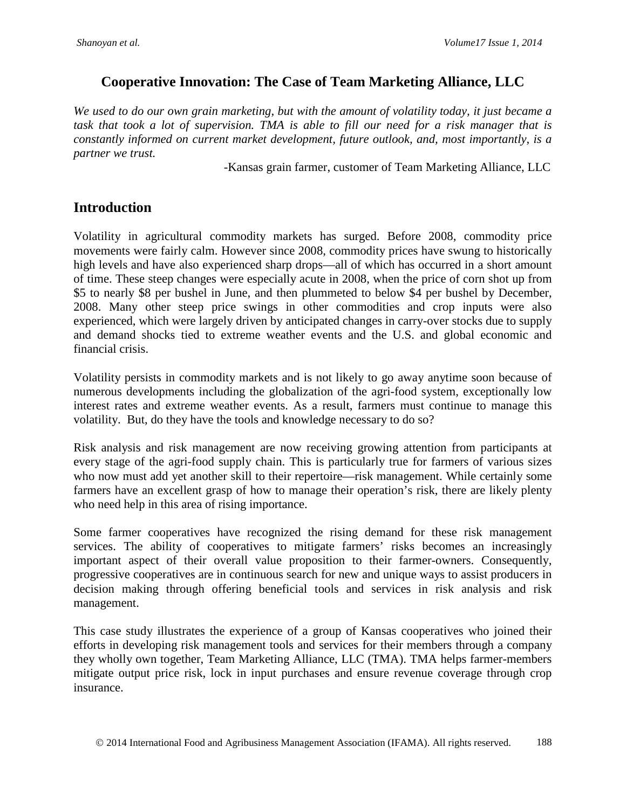### **Cooperative Innovation: The Case of Team Marketing Alliance, LLC**

*We used to do our own grain marketing, but with the amount of volatility today, it just became a task that took a lot of supervision. TMA is able to fill our need for a risk manager that is constantly informed on current market development, future outlook, and, most importantly, is a partner we trust.*

-Kansas grain farmer, customer of Team Marketing Alliance, LLC

### **Introduction**

Volatility in agricultural commodity markets has surged. Before 2008, commodity price movements were fairly calm. However since 2008, commodity prices have swung to historically high levels and have also experienced sharp drops—all of which has occurred in a short amount of time. These steep changes were especially acute in 2008, when the price of corn shot up from \$5 to nearly \$8 per bushel in June, and then plummeted to below \$4 per bushel by December, 2008. Many other steep price swings in other commodities and crop inputs were also experienced, which were largely driven by anticipated changes in carry-over stocks due to supply and demand shocks tied to extreme weather events and the U.S. and global economic and financial crisis.

Volatility persists in commodity markets and is not likely to go away anytime soon because of numerous developments including the globalization of the agri-food system, exceptionally low interest rates and extreme weather events. As a result, farmers must continue to manage this volatility. But, do they have the tools and knowledge necessary to do so?

Risk analysis and risk management are now receiving growing attention from participants at every stage of the agri-food supply chain. This is particularly true for farmers of various sizes who now must add yet another skill to their repertoire—risk management. While certainly some farmers have an excellent grasp of how to manage their operation's risk, there are likely plenty who need help in this area of rising importance.

Some farmer cooperatives have recognized the rising demand for these risk management services. The ability of cooperatives to mitigate farmers' risks becomes an increasingly important aspect of their overall value proposition to their farmer-owners. Consequently, progressive cooperatives are in continuous search for new and unique ways to assist producers in decision making through offering beneficial tools and services in risk analysis and risk management.

This case study illustrates the experience of a group of Kansas cooperatives who joined their efforts in developing risk management tools and services for their members through a company they wholly own together, Team Marketing Alliance, LLC (TMA). TMA helps farmer-members mitigate output price risk, lock in input purchases and ensure revenue coverage through crop insurance.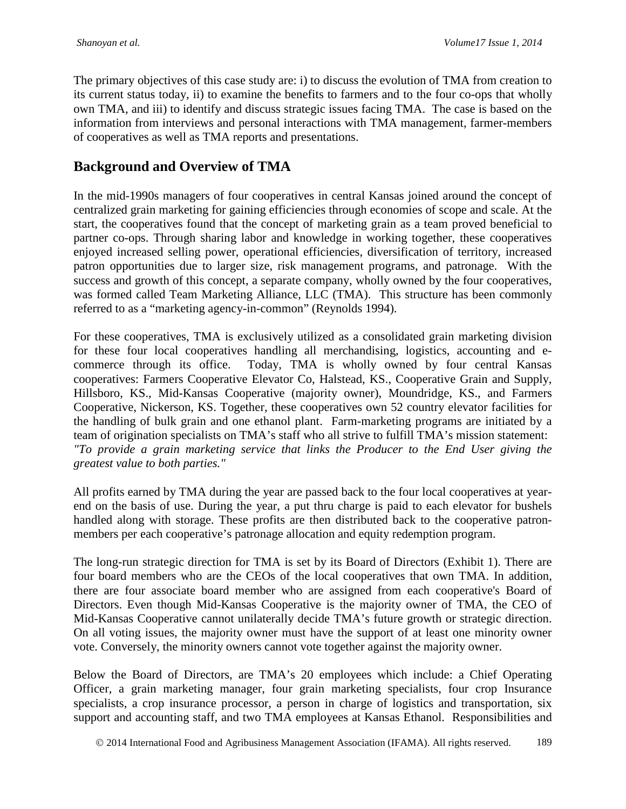The primary objectives of this case study are: i) to discuss the evolution of TMA from creation to its current status today, ii) to examine the benefits to farmers and to the four co-ops that wholly own TMA, and iii) to identify and discuss strategic issues facing TMA. The case is based on the information from interviews and personal interactions with TMA management, farmer-members of cooperatives as well as TMA reports and presentations.

## **Background and Overview of TMA**

In the mid-1990s managers of four cooperatives in central Kansas joined around the concept of centralized grain marketing for gaining efficiencies through economies of scope and scale. At the start, the cooperatives found that the concept of marketing grain as a team proved beneficial to partner co-ops. Through sharing labor and knowledge in working together, these cooperatives enjoyed increased selling power, operational efficiencies, diversification of territory, increased patron opportunities due to larger size, risk management programs, and patronage. With the success and growth of this concept, a separate company, wholly owned by the four cooperatives, was formed called Team Marketing Alliance, LLC (TMA). This structure has been commonly referred to as a "marketing agency-in-common" (Reynolds 1994).

For these cooperatives, TMA is exclusively utilized as a consolidated grain marketing division for these four local cooperatives handling all merchandising, logistics, accounting and ecommerce through its office. Today, TMA is wholly owned by four central Kansas cooperatives: Farmers Cooperative Elevator Co, Halstead, KS., Cooperative Grain and Supply, Hillsboro, KS., Mid-Kansas Cooperative (majority owner), Moundridge, KS., and Farmers Cooperative, Nickerson, KS. Together, these cooperatives own 52 country elevator facilities for the handling of bulk grain and one ethanol plant. Farm-marketing programs are initiated by a team of origination specialists on TMA's staff who all strive to fulfill TMA's mission statement: *"To provide a grain marketing service that links the Producer to the End User giving the greatest value to both parties."*

All profits earned by TMA during the year are passed back to the four local cooperatives at yearend on the basis of use. During the year, a put thru charge is paid to each elevator for bushels handled along with storage. These profits are then distributed back to the cooperative patronmembers per each cooperative's patronage allocation and equity redemption program.

The long-run strategic direction for TMA is set by its Board of Directors (Exhibit 1). There are four board members who are the CEOs of the local cooperatives that own TMA. In addition, there are four associate board member who are assigned from each cooperative's Board of Directors. Even though Mid-Kansas Cooperative is the majority owner of TMA, the CEO of Mid-Kansas Cooperative cannot unilaterally decide TMA's future growth or strategic direction. On all voting issues, the majority owner must have the support of at least one minority owner vote. Conversely, the minority owners cannot vote together against the majority owner.

Below the Board of Directors, are TMA's 20 employees which include: a Chief Operating Officer, a grain marketing manager, four grain marketing specialists, four crop Insurance specialists, a crop insurance processor, a person in charge of logistics and transportation, six support and accounting staff, and two TMA employees at Kansas Ethanol. Responsibilities and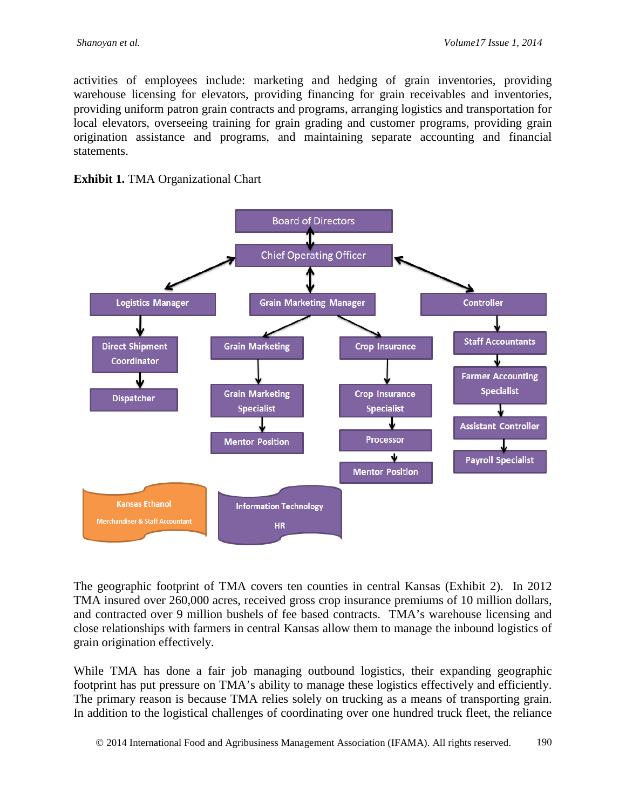activities of employees include: marketing and hedging of grain inventories, providing warehouse licensing for elevators, providing financing for grain receivables and inventories, providing uniform patron grain contracts and programs, arranging logistics and transportation for local elevators, overseeing training for grain grading and customer programs, providing grain origination assistance and programs, and maintaining separate accounting and financial statements.





The geographic footprint of TMA covers ten counties in central Kansas (Exhibit 2). In 2012 TMA insured over 260,000 acres, received gross crop insurance premiums of 10 million dollars, and contracted over 9 million bushels of fee based contracts. TMA's warehouse licensing and close relationships with farmers in central Kansas allow them to manage the inbound logistics of grain origination effectively.

While TMA has done a fair job managing outbound logistics, their expanding geographic footprint has put pressure on TMA's ability to manage these logistics effectively and efficiently. The primary reason is because TMA relies solely on trucking as a means of transporting grain. In addition to the logistical challenges of coordinating over one hundred truck fleet, the reliance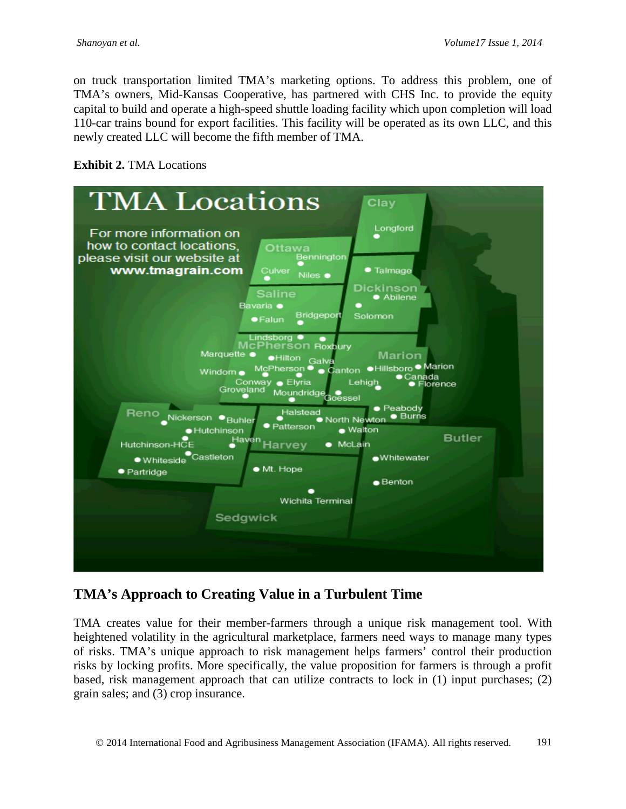on truck transportation limited TMA's marketing options. To address this problem, one of TMA's owners, Mid-Kansas Cooperative, has partnered with CHS Inc. to provide the equity capital to build and operate a high-speed shuttle loading facility which upon completion will load 110-car trains bound for export facilities. This facility will be operated as its own LLC, and this newly created LLC will become the fifth member of TMA.

#### **Exhibit 2. TMA Locations**



# **TMA's Approach to Creating Value in a Turbulent Time**

TMA creates value for their member-farmers through a unique risk management tool. With heightened volatility in the agricultural marketplace, farmers need ways to manage many types of risks. TMA's unique approach to risk management helps farmers' control their production risks by locking profits. More specifically, the value proposition for farmers is through a profit based, risk management approach that can utilize contracts to lock in (1) input purchases; (2) grain sales; and (3) crop insurance.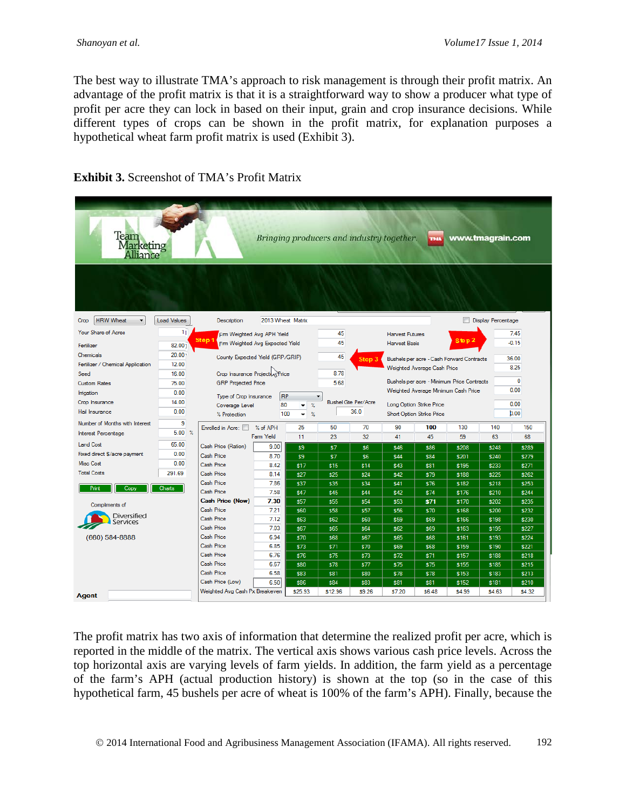The best way to illustrate TMA's approach to risk management is through their profit matrix. An advantage of the profit matrix is that it is a straightforward way to show a producer what type of profit per acre they can lock in based on their input, grain and crop insurance decisions. While different types of crops can be shown in the profit matrix, for explanation purposes a hypothetical wheat farm profit matrix is used (Exhibit 3).

| Team<br>Marketing<br>Alliance     | Bringing producers and industry together.<br>www.tmagrain.com<br><b>THA</b> |                                                                                   |              |                                     |                                          |                                                        |                                           |                    |                |                           |                |  |
|-----------------------------------|-----------------------------------------------------------------------------|-----------------------------------------------------------------------------------|--------------|-------------------------------------|------------------------------------------|--------------------------------------------------------|-------------------------------------------|--------------------|----------------|---------------------------|----------------|--|
|                                   |                                                                             |                                                                                   |              |                                     |                                          |                                                        |                                           |                    |                |                           |                |  |
| <b>HRW Wheat</b><br>Crop          | <b>Load Values</b>                                                          | 2013 Wheat Matrix<br>Description                                                  |              |                                     |                                          |                                                        |                                           |                    |                | <b>Display Percentage</b> |                |  |
| Your Share of Acres               | 11                                                                          | Fm Weighted Avg APH Yield                                                         |              |                                     | 45                                       |                                                        | <b>Harvest Futures</b>                    |                    |                |                           | 7.45           |  |
| Fertilizer                        | Step 1<br>Fm Weighted Avg Expected Yield<br>82.00 <sub>1</sub>              |                                                                                   |              |                                     | 45                                       |                                                        | <b>Harvest Basis</b>                      |                    | Step 2         | $-0.15$                   |                |  |
| Chemicals                         | 20.00 <sub>1</sub>                                                          | County Expected Yield (GRP/GRIP)                                                  |              |                                     |                                          |                                                        |                                           |                    |                |                           |                |  |
| Fertilizer / Chemical Application | 12.00                                                                       |                                                                                   |              |                                     |                                          | Step 3                                                 | Bushels per acre - Cash Forward Contracts |                    |                |                           | 36.00<br>8.25  |  |
| Seed                              | 16.00                                                                       | Crop Insurance Project Rice                                                       |              |                                     |                                          |                                                        | Weighted Average Cash Price               |                    |                |                           |                |  |
| <b>Custom Rates</b>               | <b>GRP</b> Projected Price<br>75.00                                         |                                                                                   |              |                                     | 5.68                                     | Bushels per acre - Minimum Price Contracts             |                                           |                    |                | $\mathbf{0}$              |                |  |
| Imigation                         | 0.00                                                                        | Type of Crop Insurance                                                            |              | Weighted Average Minimum Cash Price |                                          |                                                        | 0.00                                      |                    |                |                           |                |  |
| Crop Insurance                    | 14.00                                                                       | <b>RP</b><br>80<br>Coverage Level<br>$\gamma_{\rm e}$<br>$\overline{\phantom{0}}$ |              |                                     |                                          | <b>Bushel Gte Per/Acre</b><br>Long Option Strike Price |                                           |                    | 0.00           |                           |                |  |
| Hail Insurance                    | 0.00                                                                        | 100<br>$\gamma_{\rm s}$<br>% Protection<br>۰                                      |              |                                     | 36.0<br><b>Short Option Strike Price</b> |                                                        |                                           |                    | b.00           |                           |                |  |
| Number of Months with Interest    | 9                                                                           | Enrolled in Acre:                                                                 | % of APH     | 25                                  | 50                                       | 70                                                     | 90                                        | 100                | 130            | 140                       | 150            |  |
| Interest Percentage               | $5.00\%$                                                                    |                                                                                   | Farm Yield   | 11                                  | 23                                       | 32                                                     | 41                                        | 45                 | 59             | 63                        | 68             |  |
| <b>Land Cost</b>                  | 65.00                                                                       | Cash Price (Ration)                                                               | 9.00         | \$9                                 | \$7                                      | \$6                                                    | \$46                                      | \$86               | \$208          | \$248                     | \$289          |  |
| Fixed direct \$/acre payment      | 0.00                                                                        | Cash Price                                                                        | 8.70         | \$9                                 | \$7                                      | \$6                                                    | \$44                                      | \$84               | \$201          | \$240                     | \$279          |  |
| Misc Cost                         | 0.00                                                                        | Cash Price                                                                        | 8.42         | \$17                                | \$15                                     | \$14                                                   | \$43                                      | \$81               | \$195          | \$233                     | <b>\$271</b>   |  |
| <b>Total Costs</b>                | 291.69                                                                      | Cash Price                                                                        | 8.14         | \$27                                | \$25                                     | \$24                                                   | \$42                                      | \$79               | \$188          | \$225                     | \$262          |  |
| Print                             | Charts                                                                      | Cash Price                                                                        | 7.86         | \$37                                | \$35                                     | \$34                                                   | \$41                                      | \$76               | \$182          | \$218                     | \$253          |  |
| Copy                              |                                                                             | Cash Price                                                                        | 7.58         | \$47                                | \$45                                     | \$44                                                   | \$42                                      | \$74               | \$176          | \$210                     | \$244          |  |
| Compliments of                    |                                                                             | <b>Cash Price (Now)</b>                                                           | 7.30         | \$57                                | \$55                                     | \$54                                                   | \$53                                      | <b>\$71</b>        | \$170          | \$202                     | \$235          |  |
| Diversified                       |                                                                             | Cash Price                                                                        | 7.21         | \$60                                | \$58                                     | \$57                                                   | \$56                                      | \$70               | \$168          | \$200                     | \$232          |  |
| ervices                           |                                                                             | Cash Price<br>Cash Price                                                          | 7.12         | \$63                                | <b>\$62</b>                              | \$60                                                   | \$59                                      | <b>\$69</b>        | \$166          | \$198                     | \$230          |  |
|                                   |                                                                             | Cash Price                                                                        | 7.03<br>6.94 | \$67                                | \$65                                     | \$64                                                   | \$62                                      | <b>\$69</b>        | \$163          | \$195                     | \$227<br>\$224 |  |
| (660) 584-8888                    |                                                                             | Cash Price                                                                        | 6.85         | \$70<br>\$73                        | <b>S68</b><br>\$71                       | \$67<br>\$70                                           | \$65<br>\$69                              | <b>S68</b><br>\$68 | \$161<br>\$159 | \$193<br>\$190            | \$221          |  |
|                                   |                                                                             | Cash Price                                                                        | 6.76         | \$76                                | <b>\$75</b>                              | \$73                                                   | \$72                                      | \$71               | \$157          | \$188                     | \$218          |  |
|                                   |                                                                             | Cash Price                                                                        | 6.67         | \$80                                | \$78                                     | \$77                                                   | \$75                                      | \$75               | \$155          | \$185                     | \$215          |  |
|                                   |                                                                             | Cash Price                                                                        | 6.58         | \$83                                | <b>\$81</b>                              | \$80                                                   | \$78                                      | \$78               | \$153          | \$183                     | \$213          |  |
|                                   |                                                                             | Cash Price (Low)                                                                  | 6.50         | \$86                                | \$84                                     | \$83                                                   | \$81                                      | \$81               | \$152          | \$181                     | \$210          |  |
| <b>Agent</b>                      |                                                                             | Weighted Avg Cash Px Breakeven                                                    |              | \$25.93                             | \$12.96                                  | \$9.26                                                 | \$7.20                                    | \$6.48             | \$4.99         | \$4.63                    | \$4.32         |  |
|                                   |                                                                             |                                                                                   |              |                                     |                                          |                                                        |                                           |                    |                |                           |                |  |

### **Exhibit 3.** Screenshot of TMA's Profit Matrix

The profit matrix has two axis of information that determine the realized profit per acre, which is reported in the middle of the matrix. The vertical axis shows various cash price levels. Across the top horizontal axis are varying levels of farm yields. In addition, the farm yield as a percentage of the farm's APH (actual production history) is shown at the top (so in the case of this hypothetical farm, 45 bushels per acre of wheat is 100% of the farm's APH). Finally, because the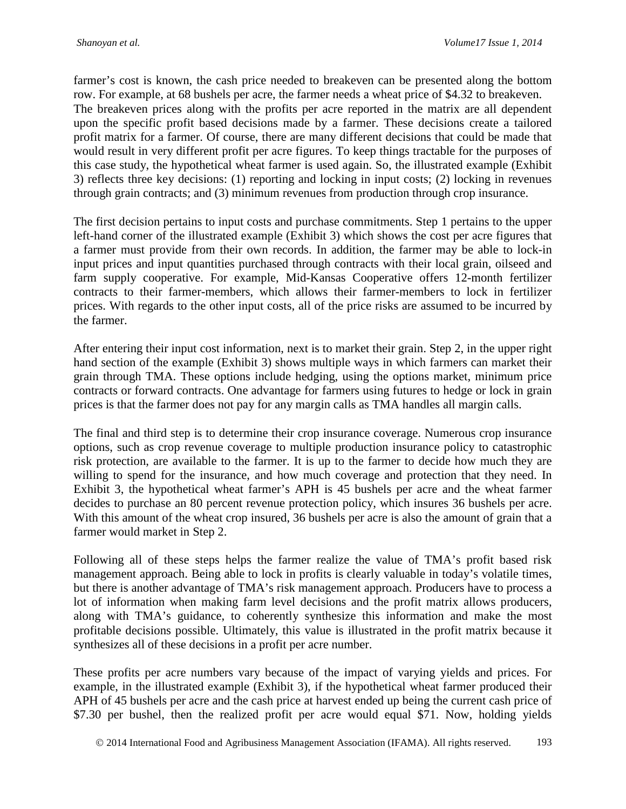farmer's cost is known, the cash price needed to breakeven can be presented along the bottom row. For example, at 68 bushels per acre, the farmer needs a wheat price of \$4.32 to breakeven. The breakeven prices along with the profits per acre reported in the matrix are all dependent upon the specific profit based decisions made by a farmer. These decisions create a tailored profit matrix for a farmer. Of course, there are many different decisions that could be made that would result in very different profit per acre figures. To keep things tractable for the purposes of this case study, the hypothetical wheat farmer is used again. So, the illustrated example (Exhibit 3) reflects three key decisions: (1) reporting and locking in input costs; (2) locking in revenues through grain contracts; and (3) minimum revenues from production through crop insurance.

The first decision pertains to input costs and purchase commitments. Step 1 pertains to the upper left-hand corner of the illustrated example (Exhibit 3) which shows the cost per acre figures that a farmer must provide from their own records. In addition, the farmer may be able to lock-in input prices and input quantities purchased through contracts with their local grain, oilseed and farm supply cooperative. For example, Mid-Kansas Cooperative offers 12-month fertilizer contracts to their farmer-members, which allows their farmer-members to lock in fertilizer prices. With regards to the other input costs, all of the price risks are assumed to be incurred by the farmer.

After entering their input cost information, next is to market their grain. Step 2, in the upper right hand section of the example (Exhibit 3) shows multiple ways in which farmers can market their grain through TMA. These options include hedging, using the options market, minimum price contracts or forward contracts. One advantage for farmers using futures to hedge or lock in grain prices is that the farmer does not pay for any margin calls as TMA handles all margin calls.

The final and third step is to determine their crop insurance coverage. Numerous crop insurance options, such as crop revenue coverage to multiple production insurance policy to catastrophic risk protection, are available to the farmer. It is up to the farmer to decide how much they are willing to spend for the insurance, and how much coverage and protection that they need. In Exhibit 3, the hypothetical wheat farmer's APH is 45 bushels per acre and the wheat farmer decides to purchase an 80 percent revenue protection policy, which insures 36 bushels per acre. With this amount of the wheat crop insured, 36 bushels per acre is also the amount of grain that a farmer would market in Step 2.

Following all of these steps helps the farmer realize the value of TMA's profit based risk management approach. Being able to lock in profits is clearly valuable in today's volatile times, but there is another advantage of TMA's risk management approach. Producers have to process a lot of information when making farm level decisions and the profit matrix allows producers, along with TMA's guidance, to coherently synthesize this information and make the most profitable decisions possible. Ultimately, this value is illustrated in the profit matrix because it synthesizes all of these decisions in a profit per acre number.

These profits per acre numbers vary because of the impact of varying yields and prices. For example, in the illustrated example (Exhibit 3), if the hypothetical wheat farmer produced their APH of 45 bushels per acre and the cash price at harvest ended up being the current cash price of \$7.30 per bushel, then the realized profit per acre would equal \$71. Now, holding yields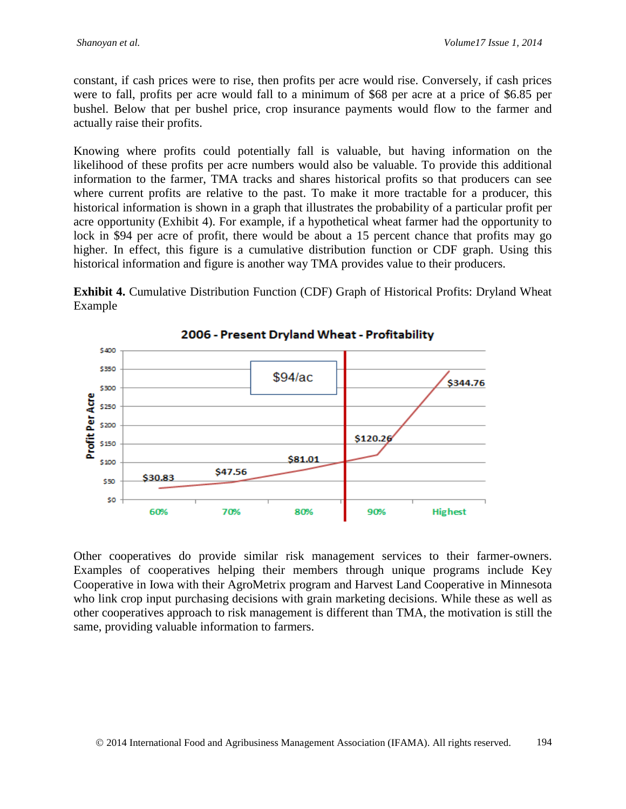constant, if cash prices were to rise, then profits per acre would rise. Conversely, if cash prices were to fall, profits per acre would fall to a minimum of \$68 per acre at a price of \$6.85 per bushel. Below that per bushel price, crop insurance payments would flow to the farmer and actually raise their profits.

Knowing where profits could potentially fall is valuable, but having information on the likelihood of these profits per acre numbers would also be valuable. To provide this additional information to the farmer, TMA tracks and shares historical profits so that producers can see where current profits are relative to the past. To make it more tractable for a producer, this historical information is shown in a graph that illustrates the probability of a particular profit per acre opportunity (Exhibit 4). For example, if a hypothetical wheat farmer had the opportunity to lock in \$94 per acre of profit, there would be about a 15 percent chance that profits may go higher. In effect, this figure is a cumulative distribution function or CDF graph. Using this historical information and figure is another way TMA provides value to their producers.

**Exhibit 4.** Cumulative Distribution Function (CDF) Graph of Historical Profits: Dryland Wheat Example



Other cooperatives do provide similar risk management services to their farmer-owners. Examples of cooperatives helping their members through unique programs include Key Cooperative in Iowa with their AgroMetrix program and Harvest Land Cooperative in Minnesota who link crop input purchasing decisions with grain marketing decisions. While these as well as other cooperatives approach to risk management is different than TMA, the motivation is still the same, providing valuable information to farmers.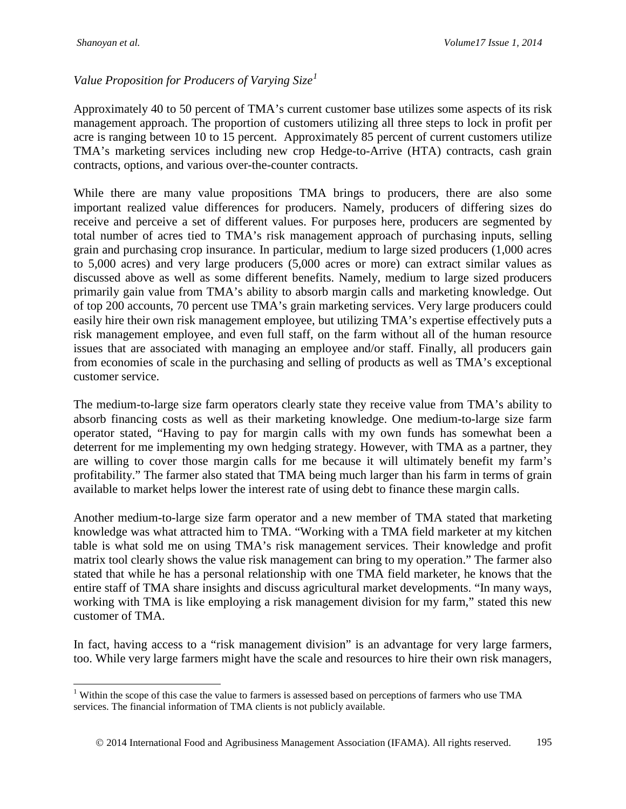### *Value Proposition for Producers of Varying Size[1](#page-8-0)*

Approximately 40 to 50 percent of TMA's current customer base utilizes some aspects of its risk management approach. The proportion of customers utilizing all three steps to lock in profit per acre is ranging between 10 to 15 percent. Approximately 85 percent of current customers utilize TMA's marketing services including new crop Hedge-to-Arrive (HTA) contracts, cash grain contracts, options, and various over-the-counter contracts.

While there are many value propositions TMA brings to producers, there are also some important realized value differences for producers. Namely, producers of differing sizes do receive and perceive a set of different values. For purposes here, producers are segmented by total number of acres tied to TMA's risk management approach of purchasing inputs, selling grain and purchasing crop insurance. In particular, medium to large sized producers (1,000 acres to 5,000 acres) and very large producers (5,000 acres or more) can extract similar values as discussed above as well as some different benefits. Namely, medium to large sized producers primarily gain value from TMA's ability to absorb margin calls and marketing knowledge. Out of top 200 accounts, 70 percent use TMA's grain marketing services. Very large producers could easily hire their own risk management employee, but utilizing TMA's expertise effectively puts a risk management employee, and even full staff, on the farm without all of the human resource issues that are associated with managing an employee and/or staff. Finally, all producers gain from economies of scale in the purchasing and selling of products as well as TMA's exceptional customer service.

The medium-to-large size farm operators clearly state they receive value from TMA's ability to absorb financing costs as well as their marketing knowledge. One medium-to-large size farm operator stated, "Having to pay for margin calls with my own funds has somewhat been a deterrent for me implementing my own hedging strategy. However, with TMA as a partner, they are willing to cover those margin calls for me because it will ultimately benefit my farm's profitability." The farmer also stated that TMA being much larger than his farm in terms of grain available to market helps lower the interest rate of using debt to finance these margin calls.

Another medium-to-large size farm operator and a new member of TMA stated that marketing knowledge was what attracted him to TMA. "Working with a TMA field marketer at my kitchen table is what sold me on using TMA's risk management services. Their knowledge and profit matrix tool clearly shows the value risk management can bring to my operation." The farmer also stated that while he has a personal relationship with one TMA field marketer, he knows that the entire staff of TMA share insights and discuss agricultural market developments. "In many ways, working with TMA is like employing a risk management division for my farm," stated this new customer of TMA.

In fact, having access to a "risk management division" is an advantage for very large farmers, too. While very large farmers might have the scale and resources to hire their own risk managers,

<span id="page-8-0"></span><sup>&</sup>lt;sup>1</sup> Within the scope of this case the value to farmers is assessed based on perceptions of farmers who use TMA services. The financial information of TMA clients is not publicly available.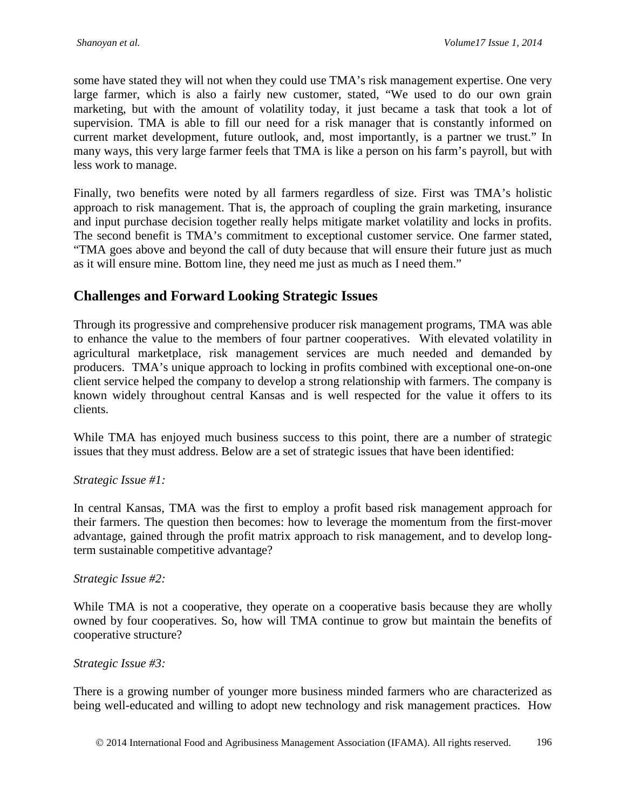some have stated they will not when they could use TMA's risk management expertise. One very large farmer, which is also a fairly new customer, stated, "We used to do our own grain marketing, but with the amount of volatility today, it just became a task that took a lot of supervision. TMA is able to fill our need for a risk manager that is constantly informed on current market development, future outlook, and, most importantly, is a partner we trust." In many ways, this very large farmer feels that TMA is like a person on his farm's payroll, but with less work to manage.

Finally, two benefits were noted by all farmers regardless of size. First was TMA's holistic approach to risk management. That is, the approach of coupling the grain marketing, insurance and input purchase decision together really helps mitigate market volatility and locks in profits. The second benefit is TMA's commitment to exceptional customer service. One farmer stated, "TMA goes above and beyond the call of duty because that will ensure their future just as much as it will ensure mine. Bottom line, they need me just as much as I need them."

### **Challenges and Forward Looking Strategic Issues**

Through its progressive and comprehensive producer risk management programs, TMA was able to enhance the value to the members of four partner cooperatives. With elevated volatility in agricultural marketplace, risk management services are much needed and demanded by producers. TMA's unique approach to locking in profits combined with exceptional one-on-one client service helped the company to develop a strong relationship with farmers. The company is known widely throughout central Kansas and is well respected for the value it offers to its clients.

While TMA has enjoyed much business success to this point, there are a number of strategic issues that they must address. Below are a set of strategic issues that have been identified:

#### *Strategic Issue #1:*

In central Kansas, TMA was the first to employ a profit based risk management approach for their farmers. The question then becomes: how to leverage the momentum from the first-mover advantage, gained through the profit matrix approach to risk management, and to develop longterm sustainable competitive advantage?

#### *Strategic Issue #2:*

While TMA is not a cooperative, they operate on a cooperative basis because they are wholly owned by four cooperatives. So, how will TMA continue to grow but maintain the benefits of cooperative structure?

#### *Strategic Issue #3:*

There is a growing number of younger more business minded farmers who are characterized as being well-educated and willing to adopt new technology and risk management practices. How